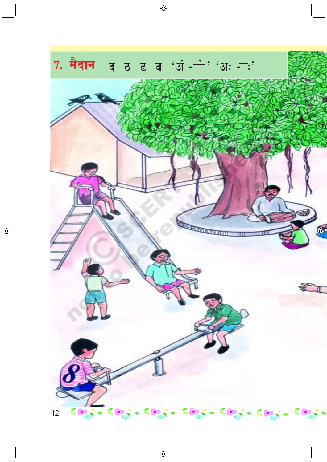

 $\bigcirc$ 

 $\bigoplus$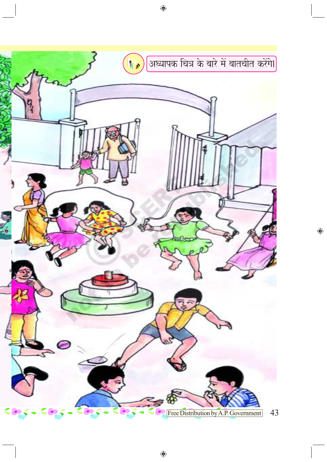

 $\bigoplus$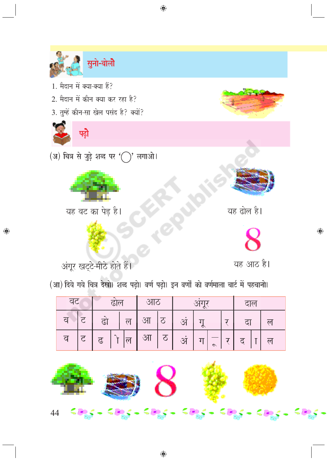

 $\bigoplus$ 

(आ) दिये गये चित्र देखो। शब्द पढ़ो। वर्ण पढ़ो। इन वर्णों को वर्णमाला चार्ट में पहचानो।

◈

| वट |               | ढाल            |                          | आठ |   | $\mathbf{C}$ |  |         | टाल          |    |  |                |
|----|---------------|----------------|--------------------------|----|---|--------------|--|---------|--------------|----|--|----------------|
| व  |               | ढो             | $\overline{\mathcal{F}}$ | आ  |   | अ            |  |         |              | दा |  | ۲d             |
| व  | $\mathcal{F}$ | $\mathfrak{L}$ | ल                        | आ  | ठ | अ            |  | $\circ$ | $\mathbf{T}$ | द  |  | $\overline{M}$ |

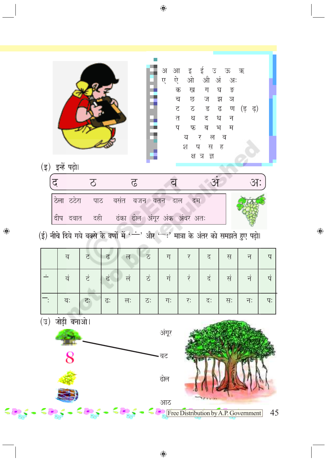|                                          | (इ) इन्हें पढ़ो। |                                                                                                                                                                         |                          | ì<br>š         | अ<br>$\mathbb{R}$<br>ए | ऐ ओ औ अं अः<br>क<br>ख<br>च छ<br>ट ठ ड ढ ण<br>तथदधन<br>प<br>य | इई उऊ ऋ<br>ग<br>फ ब भ<br>र ल व<br>श ष सह<br>क्ष त्र ज्ञ | घ<br>- ङ<br>ज झ ञ<br>म | (ड़) हो |    |
|------------------------------------------|------------------|-------------------------------------------------------------------------------------------------------------------------------------------------------------------------|--------------------------|----------------|------------------------|--------------------------------------------------------------|---------------------------------------------------------|------------------------|---------|----|
| द                                        |                  | $\Omega$                                                                                                                                                                | $\overline{6}$           |                | व                      |                                                              | $\mathcal{F}$                                           |                        | $37$ :  |    |
|                                          |                  | ठेला ठठेरा पाठ वसंत वजन वतन दाल<br>दीप दवात दही ढंका ढोल अंगूर अंक अंबर अतः<br>$(\xi)$ नीचे दिये गये बक्से के वर्णों में ' ं' और ' :' मात्रा के अंतर को समझते हुए पढ़ो। |                          |                |                        | दम                                                           |                                                         |                        |         |    |
|                                          | व                | ਟ<br>ढ                                                                                                                                                                  | $\overline{p}$           | ठ              | ग                      | र                                                            | द                                                       | स                      | न       | प  |
| $\overline{\phantom{a}}$                 | वं               | टं<br>ढं                                                                                                                                                                | $\frac{1}{\overline{D}}$ | $\dot{\sigma}$ | गं                     | रं                                                           | दं                                                      | सं                     | नं      | पं |
|                                          | वः               | ढः<br>ਟ:                                                                                                                                                                | त्त:                     | ठः             | गः                     | रः                                                           | दः                                                      | सः                     | नः      | पः |
| जोड़ी बनाओ।<br>$(\overline{v})$<br>अंगूर |                  |                                                                                                                                                                         |                          |                |                        |                                                              |                                                         |                        |         |    |
|                                          |                  |                                                                                                                                                                         |                          |                | वट                     |                                                              |                                                         |                        |         |    |
|                                          |                  |                                                                                                                                                                         |                          |                | ढोल                    |                                                              |                                                         |                        |         |    |
|                                          |                  |                                                                                                                                                                         |                          |                | आठ                     | Free Distribution by A.P. Government                         |                                                         |                        |         | 45 |

 $\bigoplus$ 

 $\bigoplus$ 

≤a<sub>a</sub>s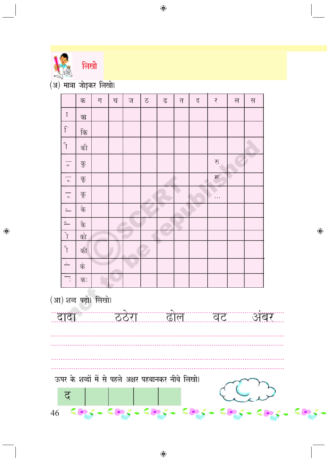

 $\bigcirc$ 

 $\overline{(\overline{\mathfrak A})}$  मात्रा जोड़कर लिखो।

|    |                                                                                                                                                                                                                                                                                                                                              | क                         | ग                    | च  | ज                                                  | 2 | ढ       | $\overline{P}$ | द | र         | ल | स |     |          |
|----|----------------------------------------------------------------------------------------------------------------------------------------------------------------------------------------------------------------------------------------------------------------------------------------------------------------------------------------------|---------------------------|----------------------|----|----------------------------------------------------|---|---------|----------------|---|-----------|---|---|-----|----------|
|    | T                                                                                                                                                                                                                                                                                                                                            | का                        |                      |    |                                                    |   |         |                |   |           |   |   |     |          |
|    | $\uparrow$                                                                                                                                                                                                                                                                                                                                   | कि                        |                      |    |                                                    |   |         |                |   |           |   |   |     |          |
|    | $\uparrow$                                                                                                                                                                                                                                                                                                                                   | की                        |                      |    |                                                    |   |         |                |   |           |   |   |     |          |
|    | $\overline{\phantom{0}}$                                                                                                                                                                                                                                                                                                                     | $\overline{\mathfrak{F}}$ |                      |    |                                                    |   |         |                |   | रु        |   |   |     |          |
|    | $\sim$                                                                                                                                                                                                                                                                                                                                       | कू                        |                      |    |                                                    |   |         |                |   | रू        |   |   |     |          |
|    | $\overline{\cdot}$                                                                                                                                                                                                                                                                                                                           | कृ                        |                      |    |                                                    |   |         |                |   | $\ddotsc$ |   |   |     |          |
|    | $\overline{\phantom{a}}$                                                                                                                                                                                                                                                                                                                     | के                        |                      |    |                                                    |   |         |                |   |           |   |   |     |          |
|    | $\overline{p}$                                                                                                                                                                                                                                                                                                                               | कै                        |                      |    |                                                    |   |         |                |   |           |   |   |     |          |
|    | $\mathcal{L}$                                                                                                                                                                                                                                                                                                                                | को                        |                      |    |                                                    |   |         |                |   |           |   |   |     | $\theta$ |
|    | $\begin{picture}(120,15) \put(0,0){\line(1,0){155}} \put(15,0){\line(1,0){155}} \put(15,0){\line(1,0){155}} \put(15,0){\line(1,0){155}} \put(15,0){\line(1,0){155}} \put(15,0){\line(1,0){155}} \put(15,0){\line(1,0){155}} \put(15,0){\line(1,0){155}} \put(15,0){\line(1,0){155}} \put(15,0){\line(1,0){155}} \put(15,0){\line(1,0){155}}$ | को                        |                      |    |                                                    |   |         |                |   |           |   |   |     |          |
|    | $\overline{\phantom{a}}$                                                                                                                                                                                                                                                                                                                     | कं                        |                      |    |                                                    |   |         |                |   |           |   |   |     |          |
|    | $\overline{\cdot}$                                                                                                                                                                                                                                                                                                                           | कः                        |                      |    |                                                    |   |         |                |   |           |   |   |     |          |
|    |                                                                                                                                                                                                                                                                                                                                              |                           | (आ) शब्द पढ़ो। लिखो। |    |                                                    |   |         |                |   |           |   |   |     |          |
|    | द                                                                                                                                                                                                                                                                                                                                            |                           |                      |    | ऊपर के शब्दों में से पहले अक्षर पहचानकर नीचे लिखो। |   |         |                |   |           |   |   |     |          |
| 46 | ≤                                                                                                                                                                                                                                                                                                                                            |                           |                      | 58 |                                                    |   | 40ga 40 |                |   | - 51      |   |   | -ca |          |

 $\bigoplus$ 

 $\bigoplus$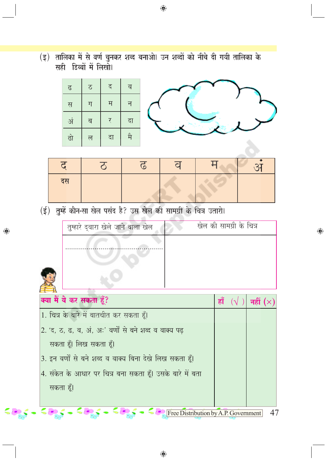(इ) तालिका में से वर्ण चुनकर शब्द बनाओ। उन शब्दों को नीचे दी गयी तालिका के<br>सही डिब्बों में लिखो।



| दस |  |  |  |
|----|--|--|--|

 $\bigoplus$ 

(ई) तुम्हें कौन-सा खेल पसंद है? उस खेल की सामग्री के चित्र उतारो।

 $\bigcirc$ 

| तुम्हारे द्वारा खेले जाने वाला खेल                                                                                                     | खेल की सामग्री के चित्र    |  |    |  |  |
|----------------------------------------------------------------------------------------------------------------------------------------|----------------------------|--|----|--|--|
|                                                                                                                                        |                            |  |    |  |  |
|                                                                                                                                        |                            |  |    |  |  |
| क्या मैं ये कर सकता हूँ?                                                                                                               | हाँ $(\sqrt{})$ नहीं $(x)$ |  |    |  |  |
| 1. चित्र के बारे में बातचीत कर सकता हूँ।                                                                                               |                            |  |    |  |  |
| 2. 'द, ठ, ढ, व, अं, अः' वर्णों से बने शब्द व वाक्य पढ़                                                                                 |                            |  |    |  |  |
| सकता हूँ। लिख सकता हूँ।                                                                                                                |                            |  |    |  |  |
| 3. इन वर्णों से बने शब्द व वाक्य बिना देखे लिख सकता हूँ।                                                                               |                            |  |    |  |  |
| 4. संकेत के आधार पर चित्र बना सकता हूँ। उसके बारे में बता                                                                              |                            |  |    |  |  |
| सकता हूँ।                                                                                                                              |                            |  |    |  |  |
|                                                                                                                                        |                            |  |    |  |  |
| $\frac{1}{2}$ $\frac{1}{2}$ $\frac{1}{2}$ $\frac{1}{2}$ $\frac{1}{2}$ $\frac{1}{2}$ $\frac{1}{2}$ Free Distribution by A.P. Government |                            |  | 47 |  |  |